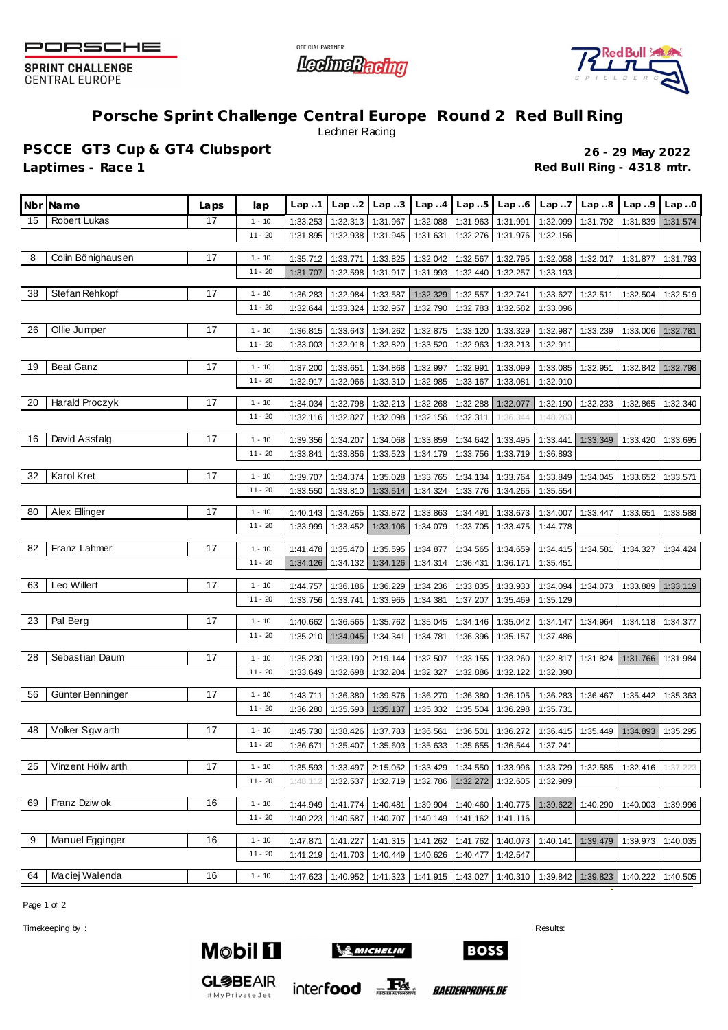

**SPRINT CHALLENGE CENTRAL EUROPE** 





## **Porsche Sprint Challenge Central Europe Round 2 Red Bull Ring** Lechner Racing

**PSCCE GT3 Cup & GT4 Clubsport 26 - 29 May 2022** Laptimes - Race 1 **Red Bull Ring - 4318 mtr.** 

|    | Nbr Name           | Laps | lap                   | Lap.1    | Lap. .2  | Lap.3    | Lap.4                | Lap.5    | Lap.6                                                | Lap.7    | Lap.8    | Lap.9    | Lap.0    |
|----|--------------------|------|-----------------------|----------|----------|----------|----------------------|----------|------------------------------------------------------|----------|----------|----------|----------|
| 15 | Robert Lukas       | 17   | $1 - 10$              | 1:33.253 | 1:32.313 | 1:31.967 | 1:32.088             | 1:31.963 | 1:31.991                                             | 1:32.099 | 1:31.792 | 1:31.839 | 1:31.574 |
|    |                    |      | $11 - 20$             | 1:31.895 | 1:32.938 | 1:31.945 | 1:31.631             | 1:32.276 | 1:31.976                                             | 1:32.156 |          |          |          |
| 8  | Colin Bönighausen  | 17   | $1 - 10$              | 1:35.712 | 1:33.771 | 1:33.825 | 1:32.042             | 1:32.567 | 1:32.795                                             | 1:32.058 | 1:32.017 | 1:31.877 | 1:31.793 |
|    |                    |      | $11 - 20$             | 1:31.707 | 1:32.598 | 1:31.917 | 1:31.993             | 1:32.440 | 1:32.257                                             | 1:33.193 |          |          |          |
| 38 | Stef an Rehkopf    | 17   | $1 - 10$              | 1:36.283 | 1:32.984 | 1:33.587 | 1:32.329             | 1:32.557 | 1:32.741                                             | 1:33.627 | 1:32.511 | 1:32.504 | 1:32.519 |
|    |                    |      | $11 - 20$             | 1:32.644 | 1:33.324 | 1:32.957 | 1:32.790             | 1:32.783 | 1:32.582                                             | 1:33.096 |          |          |          |
|    |                    |      |                       |          |          |          |                      |          |                                                      |          |          |          |          |
| 26 | Ollie Jumper       | 17   | $1 - 10$              | 1:36.815 | 1:33.643 | 1:34.262 | 1:32.875             | 1:33.120 | 1:33.329                                             | 1:32.987 | 1:33.239 | 1:33.006 | 1:32.781 |
|    |                    |      | $11 - 20$             | 1:33.003 | 1:32.918 | 1:32.820 | 1:33.520             | 1:32.963 | 1:33.213                                             | 1:32.911 |          |          |          |
| 19 | <b>Beat Ganz</b>   | 17   | $1 - 10$              | 1:37.200 | 1:33.651 | 1:34.868 | 1:32.997             | 1:32.991 | 1:33.099                                             | 1:33.085 | 1:32.951 | 1:32.842 | 1:32.798 |
|    |                    |      | $11 - 20$             | 1:32.917 | 1:32.966 | 1:33.310 | 1:32.985             | 1:33.167 | 1:33.081                                             | 1:32.910 |          |          |          |
| 20 | Harald Proczyk     | 17   | $1 - 10$              | 1:34.034 | 1:32.798 | 1:32.213 | 1:32.268             | 1:32.288 | 1:32.077                                             | 1:32.190 | 1:32.233 | 1:32.865 | 1:32.340 |
|    |                    |      | $11 - 20$             | 1:32.116 | 1:32.827 | 1:32.098 | 1:32.156             | 1:32.311 | 1:36.344                                             | 1:48.263 |          |          |          |
|    |                    |      |                       |          |          |          |                      |          |                                                      |          |          |          |          |
| 16 | David Assfalg      | 17   | $1 - 10$<br>$11 - 20$ | 1:39.356 | 1:34.207 | 1:34.068 | 1:33.859<br>1:34.179 | 1:34.642 | 1:33.495                                             | 1:33.441 | 1:33.349 | 1:33.420 | 1:33.695 |
|    |                    |      |                       | 1:33.841 | 1:33.856 | 1:33.523 |                      | 1:33.756 | 1:33.719                                             | 1:36.893 |          |          |          |
| 32 | Karol Kret         | 17   | $1 - 10$              | 1:39.707 | 1:34.374 | 1:35.028 | 1:33.765             | 1:34.134 | 1:33.764                                             | 1:33.849 | 1:34.045 | 1:33.652 | 1:33.571 |
|    |                    |      | $11 - 20$             | 1:33.550 | 1:33.810 | 1:33.514 | 1:34.324             | 1:33.776 | 1:34.265                                             | 1:35.554 |          |          |          |
| 80 | Alex Ellinger      | 17   | $1 - 10$              | 1:40.143 | 1:34.265 | 1:33.872 | 1:33.863             | 1:34.491 | 1:33.673                                             | 1:34.007 | 1:33.447 | 1:33.651 | 1:33.588 |
|    |                    |      | $11 - 20$             | 1:33.999 | 1:33.452 | 1:33.106 | 1:34.079             | 1:33.705 | 1:33.475                                             | 1:44.778 |          |          |          |
|    |                    |      |                       |          |          |          |                      |          |                                                      |          |          |          |          |
| 82 | Franz Lahmer       | 17   | $1 - 10$              | 1:41.478 | 1:35.470 | 1:35.595 | 1:34.877             | 1:34.565 | 1:34.659                                             | 1:34.415 | 1:34.581 | 1:34.327 | 1:34.424 |
|    |                    |      | $11 - 20$             | 1:34.126 | 1:34.132 | 1:34.126 | 1:34.314             | 1:36.431 | 1:36.171                                             | 1:35.451 |          |          |          |
| 63 | Leo Willert        | 17   | $1 - 10$              | 1:44.757 | 1:36.186 | 1:36.229 | 1:34.236             | 1:33.835 | 1:33.933                                             | 1:34.094 | 1:34.073 | 1:33.889 | 1:33.119 |
|    |                    |      | $11 - 20$             | 1:33.756 | 1:33.741 | 1:33.965 | 1:34.381             | 1:37.207 | 1:35.469                                             | 1:35.129 |          |          |          |
| 23 | Pal Berg           | 17   | $1 - 10$              | 1:40.662 | 1:36.565 | 1:35.762 | 1:35.045             | 1:34.146 | 1:35.042                                             | 1:34.147 | 1:34.964 | 1:34.118 | 1:34.377 |
|    |                    |      | $11 - 20$             | 1:35.210 | 1:34.045 | 1:34.341 | 1:34.781             | 1:36.396 | 1:35.157                                             | 1:37.486 |          |          |          |
|    |                    |      |                       |          |          |          |                      |          |                                                      |          |          |          |          |
| 28 | Sebastian Daum     | 17   | $1 - 10$              | 1:35.230 | 1:33.190 | 2:19.144 | 1:32.507             | 1:33.155 | 1:33.260                                             | 1:32.817 | 1:31.824 | 1:31.766 | 1:31.984 |
|    |                    |      | $11 - 20$             | 1:33.649 | 1:32.698 | 1:32.204 | 1:32.327             | 1:32.886 | 1:32.122                                             | 1:32.390 |          |          |          |
| 56 | Günter Benninger   | 17   | $1 - 10$              | 1:43.711 | 1:36.380 | 1:39.876 | 1:36.270             | 1:36.380 | 1:36.105                                             | 1:36.283 | 1:36.467 | 1:35.442 | 1:35.363 |
|    |                    |      | $11 - 20$             | 1:36.280 | 1:35.593 | 1:35.137 | 1:35.332             | 1:35.504 | 1:36.298                                             | 1:35.731 |          |          |          |
| 48 | Voker Sigw arth    | 17   | $1 - 10$              | 1:45.730 | 1:38.426 | 1:37.783 | 1:36.561             | 1:36.501 | 1:36.272                                             | 1:36.415 | 1:35.449 | 1:34.893 | 1:35.295 |
|    |                    |      | $11 - 20$             | 1:36.671 | 1:35.407 |          |                      |          | 1:35.603   1:35.633   1:35.655   1:36.544   1:37.241 |          |          |          |          |
|    |                    |      |                       |          |          |          |                      |          |                                                      |          |          |          |          |
| 25 | Vinzent Höllw arth | 17   | $1 - 10$              | 1:35.593 | 1:33.497 | 2:15.052 | 1:33.429             | 1:34.550 | 1:33.996                                             | 1:33.729 | 1:32.585 | 1:32.416 | 1:37.223 |
|    |                    |      | $11 - 20$             | 1:48.112 | 1:32.537 | 1:32.719 | 1:32.786             | 1:32.272 | 1:32.605                                             | 1:32.989 |          |          |          |
| 69 | Franz Dziw ok      | 16   | $1 - 10$              | 1:44.949 | 1:41.774 | 1:40.481 | 1:39.904             | 1:40.460 | 1:40.775                                             | 1:39.622 | 1:40.290 | 1:40.003 | 1:39.996 |
|    |                    |      | $11 - 20$             | 1:40.223 | 1:40.587 | 1:40.707 | 1:40.149             | 1:41.162 | 1:41.116                                             |          |          |          |          |
| 9  | Manuel Egginger    | 16   | $1 - 10$              | 1:47.871 | 1:41.227 | 1:41.315 | 1:41.262             | 1:41.762 | 1:40.073                                             | 1:40.141 | 1:39.479 | 1:39.973 | 1:40.035 |
|    |                    |      | $11 - 20$             | 1:41.219 | 1:41.703 | 1:40.449 | 1:40.626             | 1:40.477 | 1:42.547                                             |          |          |          |          |
|    |                    |      |                       |          |          |          |                      |          |                                                      |          |          |          |          |
| 64 | Maciej Walenda     | 16   | $1 - 10$              | 1:47.623 | 1:40.952 | 1:41.323 | 1:41.915             | 1:43.027 | 1:40.310                                             | 1:39.842 | 1:39.823 | 1:40.222 | 1:40.505 |

Page 1 of 2

Timekeeping by : Results: Results: Results: Results: Results: Results: Results: Results: Results: Results: Results: Results: Results: Results: Results: Results: Results: Results: Results: Results: Results: Results: Results



**GL参BEAIR** 

#MyPrivateJet



*BAEDERPROFIS.DE* 

**BOSS**